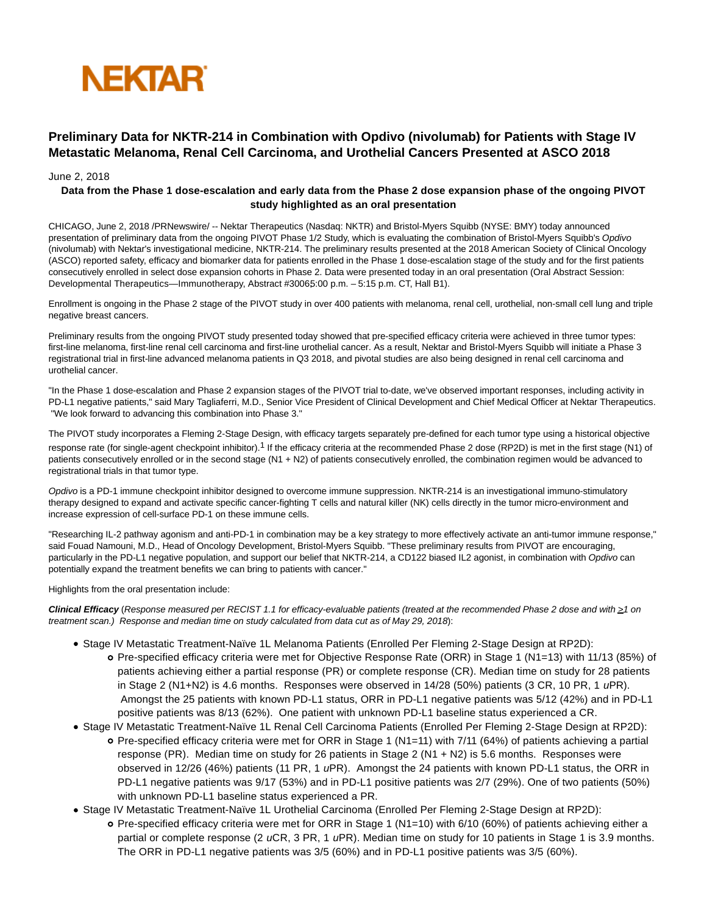

## **Preliminary Data for NKTR-214 in Combination with Opdivo (nivolumab) for Patients with Stage IV Metastatic Melanoma, Renal Cell Carcinoma, and Urothelial Cancers Presented at ASCO 2018**

## June 2, 2018

## **Data from the Phase 1 dose-escalation and early data from the Phase 2 dose expansion phase of the ongoing PIVOT study highlighted as an oral presentation**

CHICAGO, June 2, 2018 /PRNewswire/ -- Nektar Therapeutics (Nasdaq: NKTR) and Bristol-Myers Squibb (NYSE: BMY) today announced presentation of preliminary data from the ongoing PIVOT Phase 1/2 Study, which is evaluating the combination of Bristol-Myers Squibb's Opdivo (nivolumab) with Nektar's investigational medicine, NKTR-214. The preliminary results presented at the 2018 American Society of Clinical Oncology (ASCO) reported safety, efficacy and biomarker data for patients enrolled in the Phase 1 dose-escalation stage of the study and for the first patients consecutively enrolled in select dose expansion cohorts in Phase 2. Data were presented today in an oral presentation (Oral Abstract Session: Developmental Therapeutics—Immunotherapy, Abstract #30065:00 p.m. – 5:15 p.m. CT, Hall B1).

Enrollment is ongoing in the Phase 2 stage of the PIVOT study in over 400 patients with melanoma, renal cell, urothelial, non-small cell lung and triple negative breast cancers.

Preliminary results from the ongoing PIVOT study presented today showed that pre-specified efficacy criteria were achieved in three tumor types: first-line melanoma, first-line renal cell carcinoma and first-line urothelial cancer. As a result, Nektar and Bristol-Myers Squibb will initiate a Phase 3 registrational trial in first-line advanced melanoma patients in Q3 2018, and pivotal studies are also being designed in renal cell carcinoma and urothelial cancer.

"In the Phase 1 dose-escalation and Phase 2 expansion stages of the PIVOT trial to-date, we've observed important responses, including activity in PD-L1 negative patients," said Mary Tagliaferri, M.D., Senior Vice President of Clinical Development and Chief Medical Officer at Nektar Therapeutics. "We look forward to advancing this combination into Phase 3."

The PIVOT study incorporates a Fleming 2-Stage Design, with efficacy targets separately pre-defined for each tumor type using a historical objective response rate (for single-agent checkpoint inhibitor).<sup>1</sup> If the efficacy criteria at the recommended Phase 2 dose (RP2D) is met in the first stage (N1) of patients consecutively enrolled or in the second stage (N1 + N2) of patients consecutively enrolled, the combination regimen would be advanced to registrational trials in that tumor type.

Opdivo is a PD-1 immune checkpoint inhibitor designed to overcome immune suppression. NKTR-214 is an investigational immuno-stimulatory therapy designed to expand and activate specific cancer-fighting T cells and natural killer (NK) cells directly in the tumor micro-environment and increase expression of cell-surface PD-1 on these immune cells.

"Researching IL-2 pathway agonism and anti-PD-1 in combination may be a key strategy to more effectively activate an anti-tumor immune response," said Fouad Namouni, M.D., Head of Oncology Development, Bristol-Myers Squibb. "These preliminary results from PIVOT are encouraging, particularly in the PD-L1 negative population, and support our belief that NKTR-214, a CD122 biased IL2 agonist, in combination with Opdivo can potentially expand the treatment benefits we can bring to patients with cancer."

Highlights from the oral presentation include:

Clinical Efficacy (Response measured per RECIST 1.1 for efficacy-evaluable patients (treated at the recommended Phase 2 dose and with ≥1 on treatment scan.) Response and median time on study calculated from data cut as of May 29, 2018):

- Stage IV Metastatic Treatment-Naïve 1L Melanoma Patients (Enrolled Per Fleming 2-Stage Design at RP2D):
	- Pre-specified efficacy criteria were met for Objective Response Rate (ORR) in Stage 1 (N1=13) with 11/13 (85%) of patients achieving either a partial response (PR) or complete response (CR). Median time on study for 28 patients in Stage 2 (N1+N2) is 4.6 months. Responses were observed in 14/28 (50%) patients (3 CR, 10 PR, 1 uPR). Amongst the 25 patients with known PD-L1 status, ORR in PD-L1 negative patients was 5/12 (42%) and in PD-L1 positive patients was 8/13 (62%). One patient with unknown PD-L1 baseline status experienced a CR.
- Stage IV Metastatic Treatment-Naïve 1L Renal Cell Carcinoma Patients (Enrolled Per Fleming 2-Stage Design at RP2D):
	- Pre-specified efficacy criteria were met for ORR in Stage 1 (N1=11) with 7/11 (64%) of patients achieving a partial response (PR). Median time on study for 26 patients in Stage 2 (N1 + N2) is 5.6 months. Responses were observed in 12/26 (46%) patients (11 PR, 1 uPR). Amongst the 24 patients with known PD-L1 status, the ORR in PD-L1 negative patients was 9/17 (53%) and in PD-L1 positive patients was 2/7 (29%). One of two patients (50%) with unknown PD-L1 baseline status experienced a PR.
- Stage IV Metastatic Treatment-Naïve 1L Urothelial Carcinoma (Enrolled Per Fleming 2-Stage Design at RP2D):
	- Pre-specified efficacy criteria were met for ORR in Stage 1 (N1=10) with 6/10 (60%) of patients achieving either a partial or complete response (2 uCR, 3 PR, 1 uPR). Median time on study for 10 patients in Stage 1 is 3.9 months. The ORR in PD-L1 negative patients was 3/5 (60%) and in PD-L1 positive patients was 3/5 (60%).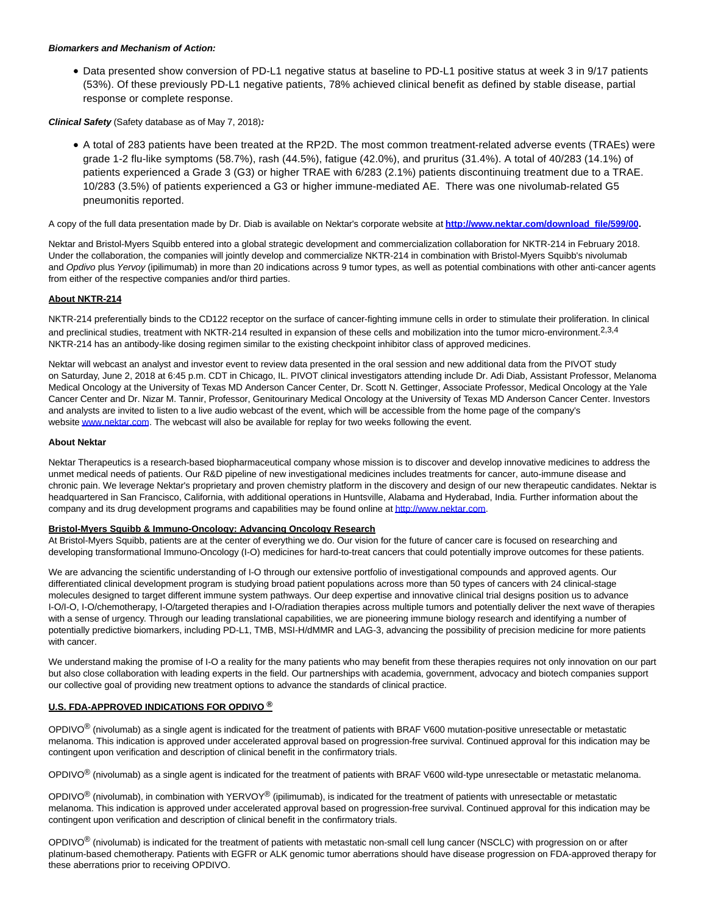#### **Biomarkers and Mechanism of Action:**

Data presented show conversion of PD-L1 negative status at baseline to PD-L1 positive status at week 3 in 9/17 patients (53%). Of these previously PD-L1 negative patients, 78% achieved clinical benefit as defined by stable disease, partial response or complete response.

**Clinical Safety** (Safety database as of May 7, 2018)**:**

A total of 283 patients have been treated at the RP2D. The most common treatment-related adverse events (TRAEs) were grade 1-2 flu-like symptoms (58.7%), rash (44.5%), fatigue (42.0%), and pruritus (31.4%). A total of 40/283 (14.1%) of patients experienced a Grade 3 (G3) or higher TRAE with 6/283 (2.1%) patients discontinuing treatment due to a TRAE. 10/283 (3.5%) of patients experienced a G3 or higher immune-mediated AE. There was one nivolumab-related G5 pneumonitis reported.

A copy of the full data presentation made by Dr. Diab is available on Nektar's corporate website at **[http://www.nektar.com/download\\_file/599/00.](http://www.nektar.com/download_file/599/0)**

Nektar and Bristol-Myers Squibb entered into a global strategic development and commercialization collaboration for NKTR-214 in February 2018. Under the collaboration, the companies will jointly develop and commercialize NKTR-214 in combination with Bristol-Myers Squibb's nivolumab and Opdivo plus Yervoy (ipilimumab) in more than 20 indications across 9 tumor types, as well as potential combinations with other anti-cancer agents from either of the respective companies and/or third parties.

## **About NKTR-214**

NKTR-214 preferentially binds to the CD122 receptor on the surface of cancer-fighting immune cells in order to stimulate their proliferation. In clinical and preclinical studies, treatment with NKTR-214 resulted in expansion of these cells and mobilization into the tumor micro-environment.<sup>2,3,4</sup> NKTR-214 has an antibody-like dosing regimen similar to the existing checkpoint inhibitor class of approved medicines.

Nektar will webcast an analyst and investor event to review data presented in the oral session and new additional data from the PIVOT study on Saturday, June 2, 2018 at 6:45 p.m. CDT in Chicago, IL. PIVOT clinical investigators attending include Dr. Adi Diab, Assistant Professor, Melanoma Medical Oncology at the University of Texas MD Anderson Cancer Center, Dr. Scott N. Gettinger, Associate Professor, Medical Oncology at the Yale Cancer Center and Dr. Nizar M. Tannir, Professor, Genitourinary Medical Oncology at the University of Texas MD Anderson Cancer Center. Investors and analysts are invited to listen to a live audio webcast of the event, which will be accessible from the home page of the company's websit[e www.nektar.com.](http://www.nektar.com/) The webcast will also be available for replay for two weeks following the event.

#### **About Nektar**

Nektar Therapeutics is a research-based biopharmaceutical company whose mission is to discover and develop innovative medicines to address the unmet medical needs of patients. Our R&D pipeline of new investigational medicines includes treatments for cancer, auto-immune disease and chronic pain. We leverage Nektar's proprietary and proven chemistry platform in the discovery and design of our new therapeutic candidates. Nektar is headquartered in San Francisco, California, with additional operations in Huntsville, Alabama and Hyderabad, India. Further information about the company and its drug development programs and capabilities may be found online a[t http://www.nektar.com.](http://www.nektar.com/)

## **Bristol-Myers Squibb & Immuno-Oncology: Advancing Oncology Research**

At Bristol-Myers Squibb, patients are at the center of everything we do. Our vision for the future of cancer care is focused on researching and developing transformational Immuno-Oncology (I-O) medicines for hard-to-treat cancers that could potentially improve outcomes for these patients.

We are advancing the scientific understanding of I-O through our extensive portfolio of investigational compounds and approved agents. Our differentiated clinical development program is studying broad patient populations across more than 50 types of cancers with 24 clinical-stage molecules designed to target different immune system pathways. Our deep expertise and innovative clinical trial designs position us to advance I-O/I-O, I-O/chemotherapy, I-O/targeted therapies and I-O/radiation therapies across multiple tumors and potentially deliver the next wave of therapies with a sense of urgency. Through our leading translational capabilities, we are pioneering immune biology research and identifying a number of potentially predictive biomarkers, including PD-L1, TMB, MSI-H/dMMR and LAG-3, advancing the possibility of precision medicine for more patients with cancer.

We understand making the promise of I-O a reality for the many patients who may benefit from these therapies requires not only innovation on our part but also close collaboration with leading experts in the field. Our partnerships with academia, government, advocacy and biotech companies support our collective goal of providing new treatment options to advance the standards of clinical practice.

## **U.S. FDA-APPROVED INDICATIONS FOR OPDIVO ®**

 $OPDIVO<sup>®</sup>$  (nivolumab) as a single agent is indicated for the treatment of patients with BRAF V600 mutation-positive unresectable or metastatic melanoma. This indication is approved under accelerated approval based on progression-free survival. Continued approval for this indication may be contingent upon verification and description of clinical benefit in the confirmatory trials.

 $OPDIVO<sup>®</sup>$  (nivolumab) as a single agent is indicated for the treatment of patients with BRAF V600 wild-type unresectable or metastatic melanoma.

OPDIVO<sup>®</sup> (nivolumab), in combination with YERVOY<sup>®</sup> (ipilimumab), is indicated for the treatment of patients with unresectable or metastatic melanoma. This indication is approved under accelerated approval based on progression-free survival. Continued approval for this indication may be contingent upon verification and description of clinical benefit in the confirmatory trials.

 $OPDIVO<sup>®</sup>$  (nivolumab) is indicated for the treatment of patients with metastatic non-small cell lung cancer (NSCLC) with progression on or after platinum-based chemotherapy. Patients with EGFR or ALK genomic tumor aberrations should have disease progression on FDA-approved therapy for these aberrations prior to receiving OPDIVO.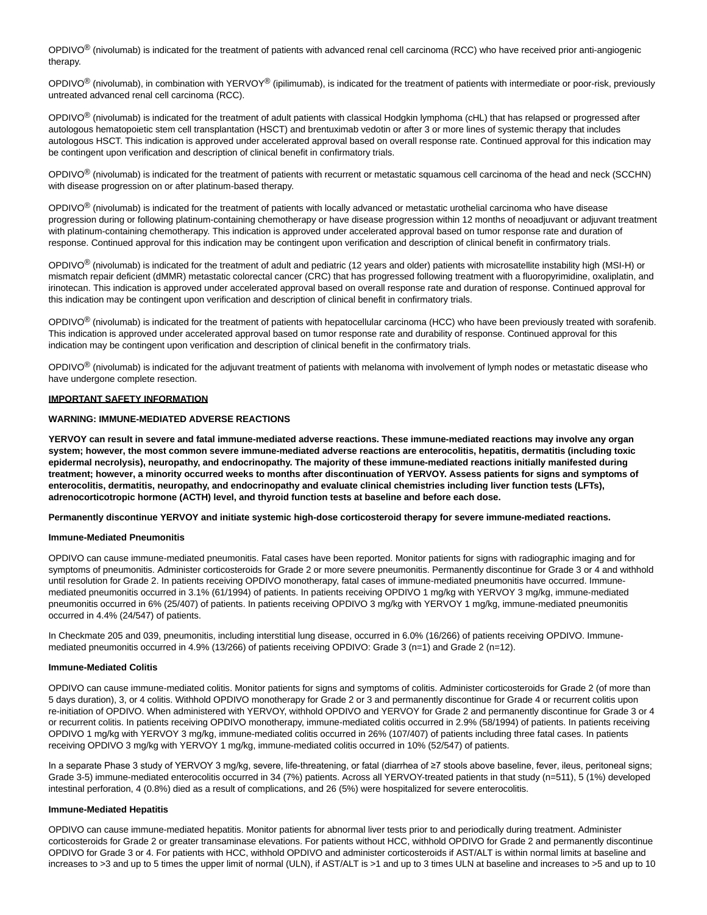OPDIVO<sup>®</sup> (nivolumab) is indicated for the treatment of patients with advanced renal cell carcinoma (RCC) who have received prior anti-angiogenic therapy.

OPDIVO<sup>®</sup> (nivolumab), in combination with YERVOY<sup>®</sup> (ipilimumab), is indicated for the treatment of patients with intermediate or poor-risk, previously untreated advanced renal cell carcinoma (RCC).

OPDIVO<sup>®</sup> (nivolumab) is indicated for the treatment of adult patients with classical Hodgkin lymphoma (cHL) that has relapsed or progressed after autologous hematopoietic stem cell transplantation (HSCT) and brentuximab vedotin or after 3 or more lines of systemic therapy that includes autologous HSCT. This indication is approved under accelerated approval based on overall response rate. Continued approval for this indication may be contingent upon verification and description of clinical benefit in confirmatory trials.

OPDIVO<sup>®</sup> (nivolumab) is indicated for the treatment of patients with recurrent or metastatic squamous cell carcinoma of the head and neck (SCCHN) with disease progression on or after platinum-based therapy.

 $OPDIVO<sup>®</sup>$  (nivolumab) is indicated for the treatment of patients with locally advanced or metastatic urothelial carcinoma who have disease progression during or following platinum-containing chemotherapy or have disease progression within 12 months of neoadjuvant or adjuvant treatment with platinum-containing chemotherapy. This indication is approved under accelerated approval based on tumor response rate and duration of response. Continued approval for this indication may be contingent upon verification and description of clinical benefit in confirmatory trials.

OPDIVO<sup>®</sup> (nivolumab) is indicated for the treatment of adult and pediatric (12 years and older) patients with microsatellite instability high (MSI-H) or mismatch repair deficient (dMMR) metastatic colorectal cancer (CRC) that has progressed following treatment with a fluoropyrimidine, oxaliplatin, and irinotecan. This indication is approved under accelerated approval based on overall response rate and duration of response. Continued approval for this indication may be contingent upon verification and description of clinical benefit in confirmatory trials.

OPDIVO<sup>®</sup> (nivolumab) is indicated for the treatment of patients with hepatocellular carcinoma (HCC) who have been previously treated with sorafenib. This indication is approved under accelerated approval based on tumor response rate and durability of response. Continued approval for this indication may be contingent upon verification and description of clinical benefit in the confirmatory trials.

OPDIVO<sup>®</sup> (nivolumab) is indicated for the adjuvant treatment of patients with melanoma with involvement of lymph nodes or metastatic disease who have undergone complete resection.

## **IMPORTANT SAFETY INFORMATION**

## **WARNING: IMMUNE-MEDIATED ADVERSE REACTIONS**

**YERVOY can result in severe and fatal immune-mediated adverse reactions. These immune-mediated reactions may involve any organ system; however, the most common severe immune-mediated adverse reactions are enterocolitis, hepatitis, dermatitis (including toxic epidermal necrolysis), neuropathy, and endocrinopathy. The majority of these immune-mediated reactions initially manifested during treatment; however, a minority occurred weeks to months after discontinuation of YERVOY. Assess patients for signs and symptoms of enterocolitis, dermatitis, neuropathy, and endocrinopathy and evaluate clinical chemistries including liver function tests (LFTs), adrenocorticotropic hormone (ACTH) level, and thyroid function tests at baseline and before each dose.**

**Permanently discontinue YERVOY and initiate systemic high-dose corticosteroid therapy for severe immune-mediated reactions.**

#### **Immune-Mediated Pneumonitis**

OPDIVO can cause immune-mediated pneumonitis. Fatal cases have been reported. Monitor patients for signs with radiographic imaging and for symptoms of pneumonitis. Administer corticosteroids for Grade 2 or more severe pneumonitis. Permanently discontinue for Grade 3 or 4 and withhold until resolution for Grade 2. In patients receiving OPDIVO monotherapy, fatal cases of immune-mediated pneumonitis have occurred. Immunemediated pneumonitis occurred in 3.1% (61/1994) of patients. In patients receiving OPDIVO 1 mg/kg with YERVOY 3 mg/kg, immune-mediated pneumonitis occurred in 6% (25/407) of patients. In patients receiving OPDIVO 3 mg/kg with YERVOY 1 mg/kg, immune-mediated pneumonitis occurred in 4.4% (24/547) of patients.

In Checkmate 205 and 039, pneumonitis, including interstitial lung disease, occurred in 6.0% (16/266) of patients receiving OPDIVO. Immunemediated pneumonitis occurred in 4.9% (13/266) of patients receiving OPDIVO: Grade 3 (n=1) and Grade 2 (n=12).

#### **Immune-Mediated Colitis**

OPDIVO can cause immune-mediated colitis. Monitor patients for signs and symptoms of colitis. Administer corticosteroids for Grade 2 (of more than 5 days duration), 3, or 4 colitis. Withhold OPDIVO monotherapy for Grade 2 or 3 and permanently discontinue for Grade 4 or recurrent colitis upon re-initiation of OPDIVO. When administered with YERVOY, withhold OPDIVO and YERVOY for Grade 2 and permanently discontinue for Grade 3 or 4 or recurrent colitis. In patients receiving OPDIVO monotherapy, immune-mediated colitis occurred in 2.9% (58/1994) of patients. In patients receiving OPDIVO 1 mg/kg with YERVOY 3 mg/kg, immune-mediated colitis occurred in 26% (107/407) of patients including three fatal cases. In patients receiving OPDIVO 3 mg/kg with YERVOY 1 mg/kg, immune-mediated colitis occurred in 10% (52/547) of patients.

In a separate Phase 3 study of YERVOY 3 mg/kg, severe, life-threatening, or fatal (diarrhea of ≥7 stools above baseline, fever, ileus, peritoneal signs; Grade 3-5) immune-mediated enterocolitis occurred in 34 (7%) patients. Across all YERVOY-treated patients in that study (n=511), 5 (1%) developed intestinal perforation, 4 (0.8%) died as a result of complications, and 26 (5%) were hospitalized for severe enterocolitis.

## **Immune-Mediated Hepatitis**

OPDIVO can cause immune-mediated hepatitis. Monitor patients for abnormal liver tests prior to and periodically during treatment. Administer corticosteroids for Grade 2 or greater transaminase elevations. For patients without HCC, withhold OPDIVO for Grade 2 and permanently discontinue OPDIVO for Grade 3 or 4. For patients with HCC, withhold OPDIVO and administer corticosteroids if AST/ALT is within normal limits at baseline and increases to >3 and up to 5 times the upper limit of normal (ULN), if AST/ALT is >1 and up to 3 times ULN at baseline and increases to >5 and up to 10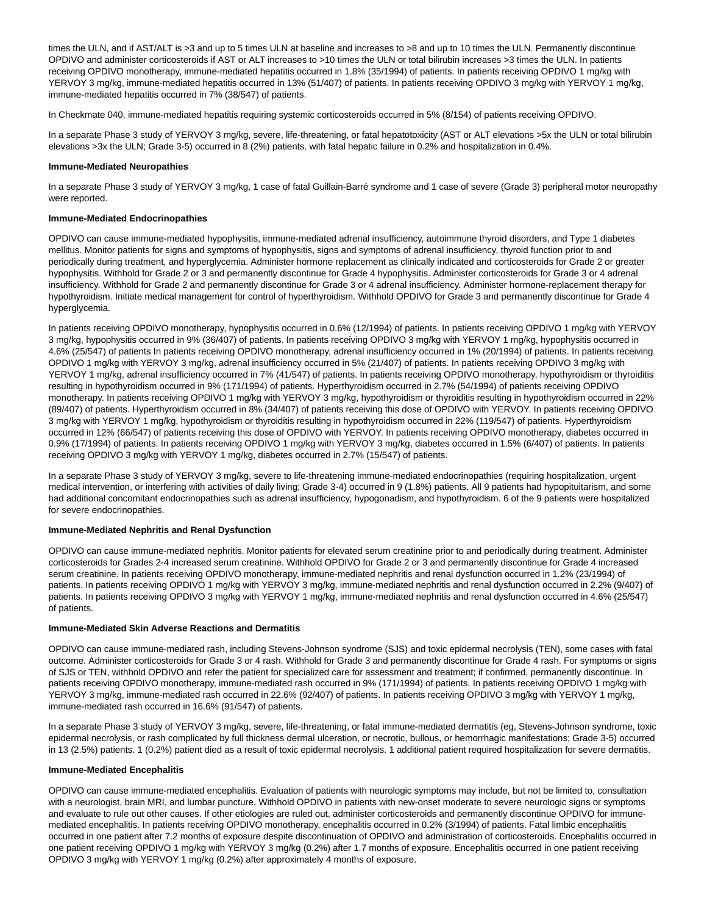times the ULN, and if AST/ALT is >3 and up to 5 times ULN at baseline and increases to >8 and up to 10 times the ULN. Permanently discontinue OPDIVO and administer corticosteroids if AST or ALT increases to >10 times the ULN or total bilirubin increases >3 times the ULN. In patients receiving OPDIVO monotherapy, immune-mediated hepatitis occurred in 1.8% (35/1994) of patients. In patients receiving OPDIVO 1 mg/kg with YERVOY 3 mg/kg, immune-mediated hepatitis occurred in 13% (51/407) of patients. In patients receiving OPDIVO 3 mg/kg with YERVOY 1 mg/kg, immune-mediated hepatitis occurred in 7% (38/547) of patients.

In Checkmate 040, immune-mediated hepatitis requiring systemic corticosteroids occurred in 5% (8/154) of patients receiving OPDIVO.

In a separate Phase 3 study of YERVOY 3 mg/kg, severe, life-threatening, or fatal hepatotoxicity (AST or ALT elevations >5x the ULN or total bilirubin elevations >3x the ULN; Grade 3-5) occurred in 8 (2%) patients, with fatal hepatic failure in 0.2% and hospitalization in 0.4%.

#### **Immune-Mediated Neuropathies**

In a separate Phase 3 study of YERVOY 3 mg/kg, 1 case of fatal Guillain-Barré syndrome and 1 case of severe (Grade 3) peripheral motor neuropathy were reported.

#### **Immune-Mediated Endocrinopathies**

OPDIVO can cause immune-mediated hypophysitis, immune-mediated adrenal insufficiency, autoimmune thyroid disorders, and Type 1 diabetes mellitus. Monitor patients for signs and symptoms of hypophysitis, signs and symptoms of adrenal insufficiency, thyroid function prior to and periodically during treatment, and hyperglycemia. Administer hormone replacement as clinically indicated and corticosteroids for Grade 2 or greater hypophysitis. Withhold for Grade 2 or 3 and permanently discontinue for Grade 4 hypophysitis. Administer corticosteroids for Grade 3 or 4 adrenal insufficiency. Withhold for Grade 2 and permanently discontinue for Grade 3 or 4 adrenal insufficiency. Administer hormone-replacement therapy for hypothyroidism. Initiate medical management for control of hyperthyroidism. Withhold OPDIVO for Grade 3 and permanently discontinue for Grade 4 hyperglycemia.

In patients receiving OPDIVO monotherapy, hypophysitis occurred in 0.6% (12/1994) of patients. In patients receiving OPDIVO 1 mg/kg with YERVOY 3 mg/kg, hypophysitis occurred in 9% (36/407) of patients. In patients receiving OPDIVO 3 mg/kg with YERVOY 1 mg/kg, hypophysitis occurred in 4.6% (25/547) of patients In patients receiving OPDIVO monotherapy, adrenal insufficiency occurred in 1% (20/1994) of patients. In patients receiving OPDIVO 1 mg/kg with YERVOY 3 mg/kg, adrenal insufficiency occurred in 5% (21/407) of patients. In patients receiving OPDIVO 3 mg/kg with YERVOY 1 mg/kg, adrenal insufficiency occurred in 7% (41/547) of patients. In patients receiving OPDIVO monotherapy, hypothyroidism or thyroiditis resulting in hypothyroidism occurred in 9% (171/1994) of patients. Hyperthyroidism occurred in 2.7% (54/1994) of patients receiving OPDIVO monotherapy. In patients receiving OPDIVO 1 mg/kg with YERVOY 3 mg/kg, hypothyroidism or thyroiditis resulting in hypothyroidism occurred in 22% (89/407) of patients. Hyperthyroidism occurred in 8% (34/407) of patients receiving this dose of OPDIVO with YERVOY. In patients receiving OPDIVO 3 mg/kg with YERVOY 1 mg/kg, hypothyroidism or thyroiditis resulting in hypothyroidism occurred in 22% (119/547) of patients. Hyperthyroidism occurred in 12% (66/547) of patients receiving this dose of OPDIVO with YERVOY. In patients receiving OPDIVO monotherapy, diabetes occurred in 0.9% (17/1994) of patients. In patients receiving OPDIVO 1 mg/kg with YERVOY 3 mg/kg, diabetes occurred in 1.5% (6/407) of patients. In patients receiving OPDIVO 3 mg/kg with YERVOY 1 mg/kg, diabetes occurred in 2.7% (15/547) of patients.

In a separate Phase 3 study of YERVOY 3 mg/kg, severe to life-threatening immune-mediated endocrinopathies (requiring hospitalization, urgent medical intervention, or interfering with activities of daily living; Grade 3-4) occurred in 9 (1.8%) patients. All 9 patients had hypopituitarism, and some had additional concomitant endocrinopathies such as adrenal insufficiency, hypogonadism, and hypothyroidism. 6 of the 9 patients were hospitalized for severe endocrinopathies.

## **Immune-Mediated Nephritis and Renal Dysfunction**

OPDIVO can cause immune-mediated nephritis. Monitor patients for elevated serum creatinine prior to and periodically during treatment. Administer corticosteroids for Grades 2-4 increased serum creatinine. Withhold OPDIVO for Grade 2 or 3 and permanently discontinue for Grade 4 increased serum creatinine. In patients receiving OPDIVO monotherapy, immune-mediated nephritis and renal dysfunction occurred in 1.2% (23/1994) of patients. In patients receiving OPDIVO 1 mg/kg with YERVOY 3 mg/kg, immune-mediated nephritis and renal dysfunction occurred in 2.2% (9/407) of patients. In patients receiving OPDIVO 3 mg/kg with YERVOY 1 mg/kg, immune-mediated nephritis and renal dysfunction occurred in 4.6% (25/547) of patients.

#### **Immune-Mediated Skin Adverse Reactions and Dermatitis**

OPDIVO can cause immune-mediated rash, including Stevens-Johnson syndrome (SJS) and toxic epidermal necrolysis (TEN), some cases with fatal outcome. Administer corticosteroids for Grade 3 or 4 rash. Withhold for Grade 3 and permanently discontinue for Grade 4 rash. For symptoms or signs of SJS or TEN, withhold OPDIVO and refer the patient for specialized care for assessment and treatment; if confirmed, permanently discontinue. In patients receiving OPDIVO monotherapy, immune-mediated rash occurred in 9% (171/1994) of patients. In patients receiving OPDIVO 1 mg/kg with YERVOY 3 mg/kg, immune-mediated rash occurred in 22.6% (92/407) of patients. In patients receiving OPDIVO 3 mg/kg with YERVOY 1 mg/kg, immune-mediated rash occurred in 16.6% (91/547) of patients.

In a separate Phase 3 study of YERVOY 3 mg/kg, severe, life-threatening, or fatal immune-mediated dermatitis (eg, Stevens-Johnson syndrome, toxic epidermal necrolysis, or rash complicated by full thickness dermal ulceration, or necrotic, bullous, or hemorrhagic manifestations; Grade 3-5) occurred in 13 (2.5%) patients. 1 (0.2%) patient died as a result of toxic epidermal necrolysis. 1 additional patient required hospitalization for severe dermatitis.

#### **Immune-Mediated Encephalitis**

OPDIVO can cause immune-mediated encephalitis. Evaluation of patients with neurologic symptoms may include, but not be limited to, consultation with a neurologist, brain MRI, and lumbar puncture. Withhold OPDIVO in patients with new-onset moderate to severe neurologic signs or symptoms and evaluate to rule out other causes. If other etiologies are ruled out, administer corticosteroids and permanently discontinue OPDIVO for immunemediated encephalitis. In patients receiving OPDIVO monotherapy, encephalitis occurred in 0.2% (3/1994) of patients. Fatal limbic encephalitis occurred in one patient after 7.2 months of exposure despite discontinuation of OPDIVO and administration of corticosteroids. Encephalitis occurred in one patient receiving OPDIVO 1 mg/kg with YERVOY 3 mg/kg (0.2%) after 1.7 months of exposure. Encephalitis occurred in one patient receiving OPDIVO 3 mg/kg with YERVOY 1 mg/kg (0.2%) after approximately 4 months of exposure.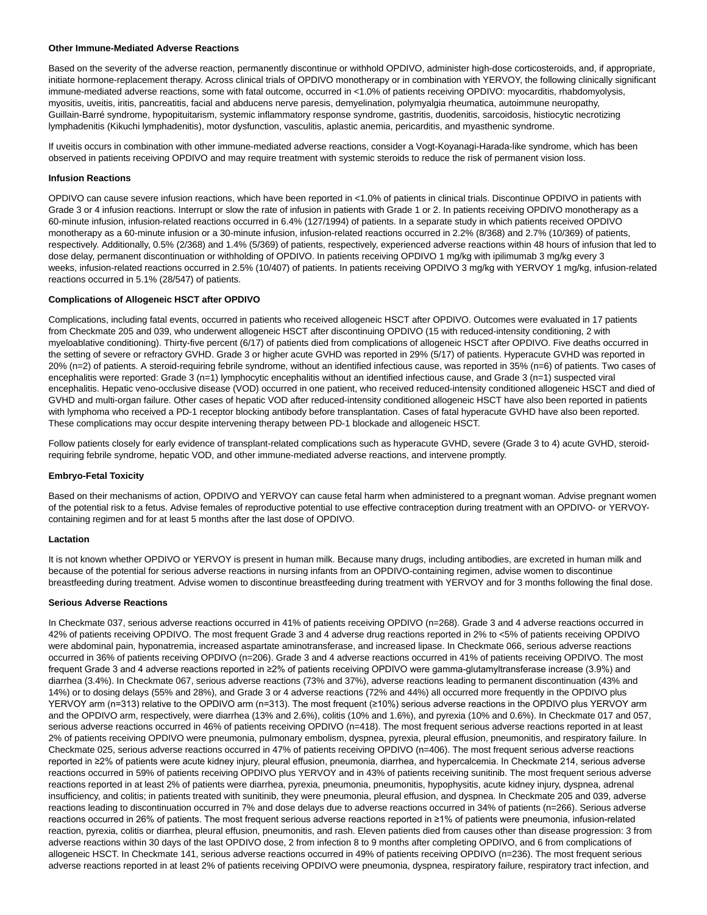#### **Other Immune-Mediated Adverse Reactions**

Based on the severity of the adverse reaction, permanently discontinue or withhold OPDIVO, administer high-dose corticosteroids, and, if appropriate, initiate hormone-replacement therapy. Across clinical trials of OPDIVO monotherapy or in combination with YERVOY, the following clinically significant immune-mediated adverse reactions, some with fatal outcome, occurred in <1.0% of patients receiving OPDIVO: myocarditis, rhabdomyolysis, myositis, uveitis, iritis, pancreatitis, facial and abducens nerve paresis, demyelination, polymyalgia rheumatica, autoimmune neuropathy, Guillain-Barré syndrome, hypopituitarism, systemic inflammatory response syndrome, gastritis, duodenitis, sarcoidosis, histiocytic necrotizing lymphadenitis (Kikuchi lymphadenitis), motor dysfunction, vasculitis, aplastic anemia, pericarditis, and myasthenic syndrome.

If uveitis occurs in combination with other immune-mediated adverse reactions, consider a Vogt-Koyanagi-Harada-like syndrome, which has been observed in patients receiving OPDIVO and may require treatment with systemic steroids to reduce the risk of permanent vision loss.

## **Infusion Reactions**

OPDIVO can cause severe infusion reactions, which have been reported in <1.0% of patients in clinical trials. Discontinue OPDIVO in patients with Grade 3 or 4 infusion reactions. Interrupt or slow the rate of infusion in patients with Grade 1 or 2. In patients receiving OPDIVO monotherapy as a 60-minute infusion, infusion-related reactions occurred in 6.4% (127/1994) of patients. In a separate study in which patients received OPDIVO monotherapy as a 60-minute infusion or a 30-minute infusion, infusion-related reactions occurred in 2.2% (8/368) and 2.7% (10/369) of patients, respectively. Additionally, 0.5% (2/368) and 1.4% (5/369) of patients, respectively, experienced adverse reactions within 48 hours of infusion that led to dose delay, permanent discontinuation or withholding of OPDIVO. In patients receiving OPDIVO 1 mg/kg with ipilimumab 3 mg/kg every 3 weeks, infusion-related reactions occurred in 2.5% (10/407) of patients. In patients receiving OPDIVO 3 mg/kg with YERVOY 1 mg/kg, infusion-related reactions occurred in 5.1% (28/547) of patients.

## **Complications of Allogeneic HSCT after OPDIVO**

Complications, including fatal events, occurred in patients who received allogeneic HSCT after OPDIVO. Outcomes were evaluated in 17 patients from Checkmate 205 and 039, who underwent allogeneic HSCT after discontinuing OPDIVO (15 with reduced-intensity conditioning, 2 with myeloablative conditioning). Thirty-five percent (6/17) of patients died from complications of allogeneic HSCT after OPDIVO. Five deaths occurred in the setting of severe or refractory GVHD. Grade 3 or higher acute GVHD was reported in 29% (5/17) of patients. Hyperacute GVHD was reported in 20% (n=2) of patients. A steroid-requiring febrile syndrome, without an identified infectious cause, was reported in 35% (n=6) of patients. Two cases of encephalitis were reported: Grade 3 (n=1) lymphocytic encephalitis without an identified infectious cause, and Grade 3 (n=1) suspected viral encephalitis. Hepatic veno-occlusive disease (VOD) occurred in one patient, who received reduced-intensity conditioned allogeneic HSCT and died of GVHD and multi-organ failure. Other cases of hepatic VOD after reduced-intensity conditioned allogeneic HSCT have also been reported in patients with lymphoma who received a PD-1 receptor blocking antibody before transplantation. Cases of fatal hyperacute GVHD have also been reported. These complications may occur despite intervening therapy between PD-1 blockade and allogeneic HSCT.

Follow patients closely for early evidence of transplant-related complications such as hyperacute GVHD, severe (Grade 3 to 4) acute GVHD, steroidrequiring febrile syndrome, hepatic VOD, and other immune-mediated adverse reactions, and intervene promptly.

## **Embryo-Fetal Toxicity**

Based on their mechanisms of action, OPDIVO and YERVOY can cause fetal harm when administered to a pregnant woman. Advise pregnant women of the potential risk to a fetus. Advise females of reproductive potential to use effective contraception during treatment with an OPDIVO- or YERVOYcontaining regimen and for at least 5 months after the last dose of OPDIVO.

#### **Lactation**

It is not known whether OPDIVO or YERVOY is present in human milk. Because many drugs, including antibodies, are excreted in human milk and because of the potential for serious adverse reactions in nursing infants from an OPDIVO-containing regimen, advise women to discontinue breastfeeding during treatment. Advise women to discontinue breastfeeding during treatment with YERVOY and for 3 months following the final dose.

## **Serious Adverse Reactions**

In Checkmate 037, serious adverse reactions occurred in 41% of patients receiving OPDIVO (n=268). Grade 3 and 4 adverse reactions occurred in 42% of patients receiving OPDIVO. The most frequent Grade 3 and 4 adverse drug reactions reported in 2% to <5% of patients receiving OPDIVO were abdominal pain, hyponatremia, increased aspartate aminotransferase, and increased lipase. In Checkmate 066, serious adverse reactions occurred in 36% of patients receiving OPDIVO (n=206). Grade 3 and 4 adverse reactions occurred in 41% of patients receiving OPDIVO. The most frequent Grade 3 and 4 adverse reactions reported in ≥2% of patients receiving OPDIVO were gamma-glutamyltransferase increase (3.9%) and diarrhea (3.4%). In Checkmate 067, serious adverse reactions (73% and 37%), adverse reactions leading to permanent discontinuation (43% and 14%) or to dosing delays (55% and 28%), and Grade 3 or 4 adverse reactions (72% and 44%) all occurred more frequently in the OPDIVO plus YERVOY arm (n=313) relative to the OPDIVO arm (n=313). The most frequent (≥10%) serious adverse reactions in the OPDIVO plus YERVOY arm and the OPDIVO arm, respectively, were diarrhea (13% and 2.6%), colitis (10% and 1.6%), and pyrexia (10% and 0.6%). In Checkmate 017 and 057, serious adverse reactions occurred in 46% of patients receiving OPDIVO (n=418). The most frequent serious adverse reactions reported in at least 2% of patients receiving OPDIVO were pneumonia, pulmonary embolism, dyspnea, pyrexia, pleural effusion, pneumonitis, and respiratory failure. In Checkmate 025, serious adverse reactions occurred in 47% of patients receiving OPDIVO (n=406). The most frequent serious adverse reactions reported in ≥2% of patients were acute kidney injury, pleural effusion, pneumonia, diarrhea, and hypercalcemia. In Checkmate 214, serious adverse reactions occurred in 59% of patients receiving OPDIVO plus YERVOY and in 43% of patients receiving sunitinib. The most frequent serious adverse reactions reported in at least 2% of patients were diarrhea, pyrexia, pneumonia, pneumonitis, hypophysitis, acute kidney injury, dyspnea, adrenal insufficiency, and colitis; in patients treated with sunitinib, they were pneumonia, pleural effusion, and dyspnea. In Checkmate 205 and 039, adverse reactions leading to discontinuation occurred in 7% and dose delays due to adverse reactions occurred in 34% of patients (n=266). Serious adverse reactions occurred in 26% of patients. The most frequent serious adverse reactions reported in ≥1% of patients were pneumonia, infusion-related reaction, pyrexia, colitis or diarrhea, pleural effusion, pneumonitis, and rash. Eleven patients died from causes other than disease progression: 3 from adverse reactions within 30 days of the last OPDIVO dose, 2 from infection 8 to 9 months after completing OPDIVO, and 6 from complications of allogeneic HSCT. In Checkmate 141, serious adverse reactions occurred in 49% of patients receiving OPDIVO (n=236). The most frequent serious adverse reactions reported in at least 2% of patients receiving OPDIVO were pneumonia, dyspnea, respiratory failure, respiratory tract infection, and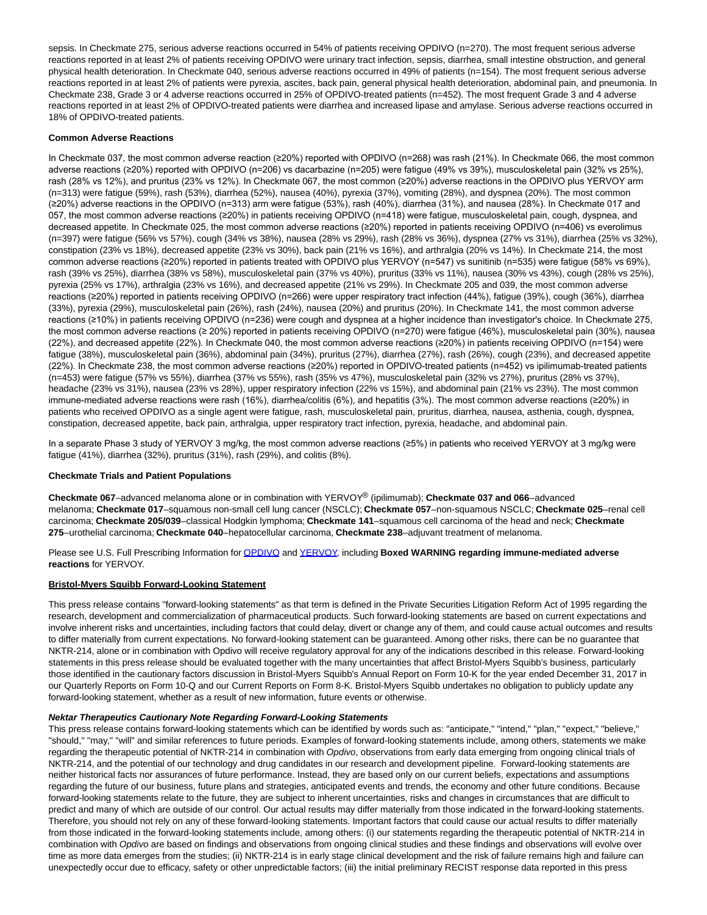sepsis. In Checkmate 275, serious adverse reactions occurred in 54% of patients receiving OPDIVO (n=270). The most frequent serious adverse reactions reported in at least 2% of patients receiving OPDIVO were urinary tract infection, sepsis, diarrhea, small intestine obstruction, and general physical health deterioration. In Checkmate 040, serious adverse reactions occurred in 49% of patients (n=154). The most frequent serious adverse reactions reported in at least 2% of patients were pyrexia, ascites, back pain, general physical health deterioration, abdominal pain, and pneumonia. In Checkmate 238, Grade 3 or 4 adverse reactions occurred in 25% of OPDIVO-treated patients (n=452). The most frequent Grade 3 and 4 adverse reactions reported in at least 2% of OPDIVO-treated patients were diarrhea and increased lipase and amylase. Serious adverse reactions occurred in 18% of OPDIVO-treated patients.

## **Common Adverse Reactions**

In Checkmate 037, the most common adverse reaction (≥20%) reported with OPDIVO (n=268) was rash (21%). In Checkmate 066, the most common adverse reactions (≥20%) reported with OPDIVO (n=206) vs dacarbazine (n=205) were fatigue (49% vs 39%), musculoskeletal pain (32% vs 25%), rash (28% vs 12%), and pruritus (23% vs 12%). In Checkmate 067, the most common (≥20%) adverse reactions in the OPDIVO plus YERVOY arm (n=313) were fatigue (59%), rash (53%), diarrhea (52%), nausea (40%), pyrexia (37%), vomiting (28%), and dyspnea (20%). The most common (≥20%) adverse reactions in the OPDIVO (n=313) arm were fatigue (53%), rash (40%), diarrhea (31%), and nausea (28%). In Checkmate 017 and 057, the most common adverse reactions (≥20%) in patients receiving OPDIVO (n=418) were fatigue, musculoskeletal pain, cough, dyspnea, and decreased appetite. In Checkmate 025, the most common adverse reactions (≥20%) reported in patients receiving OPDIVO (n=406) vs everolimus (n=397) were fatigue (56% vs 57%), cough (34% vs 38%), nausea (28% vs 29%), rash (28% vs 36%), dyspnea (27% vs 31%), diarrhea (25% vs 32%), constipation (23% vs 18%), decreased appetite (23% vs 30%), back pain (21% vs 16%), and arthralgia (20% vs 14%). In Checkmate 214, the most common adverse reactions (≥20%) reported in patients treated with OPDIVO plus YERVOY (n=547) vs sunitinib (n=535) were fatigue (58% vs 69%), rash (39% vs 25%), diarrhea (38% vs 58%), musculoskeletal pain (37% vs 40%), pruritus (33% vs 11%), nausea (30% vs 43%), cough (28% vs 25%), pyrexia (25% vs 17%), arthralgia (23% vs 16%), and decreased appetite (21% vs 29%). In Checkmate 205 and 039, the most common adverse reactions (≥20%) reported in patients receiving OPDIVO (n=266) were upper respiratory tract infection (44%), fatigue (39%), cough (36%), diarrhea (33%), pyrexia (29%), musculoskeletal pain (26%), rash (24%), nausea (20%) and pruritus (20%). In Checkmate 141, the most common adverse reactions (≥10%) in patients receiving OPDIVO (n=236) were cough and dyspnea at a higher incidence than investigator's choice. In Checkmate 275, the most common adverse reactions (≥ 20%) reported in patients receiving OPDIVO (n=270) were fatigue (46%), musculoskeletal pain (30%), nausea (22%), and decreased appetite (22%). In Checkmate 040, the most common adverse reactions (≥20%) in patients receiving OPDIVO (n=154) were fatigue (38%), musculoskeletal pain (36%), abdominal pain (34%), pruritus (27%), diarrhea (27%), rash (26%), cough (23%), and decreased appetite (22%). In Checkmate 238, the most common adverse reactions (≥20%) reported in OPDIVO-treated patients (n=452) vs ipilimumab-treated patients (n=453) were fatigue (57% vs 55%), diarrhea (37% vs 55%), rash (35% vs 47%), musculoskeletal pain (32% vs 27%), pruritus (28% vs 37%), headache (23% vs 31%), nausea (23% vs 28%), upper respiratory infection (22% vs 15%), and abdominal pain (21% vs 23%). The most common immune-mediated adverse reactions were rash (16%), diarrhea/colitis (6%), and hepatitis (3%). The most common adverse reactions (≥20%) in patients who received OPDIVO as a single agent were fatigue, rash, musculoskeletal pain, pruritus, diarrhea, nausea, asthenia, cough, dyspnea, constipation, decreased appetite, back pain, arthralgia, upper respiratory tract infection, pyrexia, headache, and abdominal pain.

In a separate Phase 3 study of YERVOY 3 mg/kg, the most common adverse reactions (≥5%) in patients who received YERVOY at 3 mg/kg were fatigue (41%), diarrhea (32%), pruritus (31%), rash (29%), and colitis (8%).

## **Checkmate Trials and Patient Populations**

**Checkmate 067**–advanced melanoma alone or in combination with YERVOY® (ipilimumab); **Checkmate 037 and 066**–advanced melanoma; **Checkmate 017**–squamous non-small cell lung cancer (NSCLC); **Checkmate 057**–non-squamous NSCLC; **Checkmate 025**–renal cell carcinoma; **Checkmate 205/039**–classical Hodgkin lymphoma; **Checkmate 141**–squamous cell carcinoma of the head and neck; **Checkmate 275**–urothelial carcinoma; **Checkmate 040**–hepatocellular carcinoma, **Checkmate 238**–adjuvant treatment of melanoma.

Please see U.S. Full Prescribing Information fo[r OPDIVO a](http://cts.businesswire.com/ct/CT?id=smartlink&url=https%3A%2F%2Fpackageinserts.bms.com%2Fpi%2Fpi_opdivo.pdf&esheet=51789416&newsitemid=20180416006326&lan=en-US&anchor=OPDIVO&index=2&md5=02eca17f99ee0d77e534c65058d78f26)nd [YERVOY,](http://cts.businesswire.com/ct/CT?id=smartlink&url=https%3A%2F%2Fpackageinserts.bms.com%2Fpi%2Fpi_yervoy.pdf&esheet=51789416&newsitemid=20180416006326&lan=en-US&anchor=YERVOY&index=3&md5=87acf1d745e34678dbb1dfae08bda7da) including **Boxed WARNING regarding immune-mediated adverse reactions** for YERVOY.

## **Bristol-Myers Squibb Forward-Looking Statement**

This press release contains "forward-looking statements" as that term is defined in the Private Securities Litigation Reform Act of 1995 regarding the research, development and commercialization of pharmaceutical products. Such forward-looking statements are based on current expectations and involve inherent risks and uncertainties, including factors that could delay, divert or change any of them, and could cause actual outcomes and results to differ materially from current expectations. No forward-looking statement can be guaranteed. Among other risks, there can be no guarantee that NKTR-214, alone or in combination with Opdivo will receive regulatory approval for any of the indications described in this release. Forward-looking statements in this press release should be evaluated together with the many uncertainties that affect Bristol-Myers Squibb's business, particularly those identified in the cautionary factors discussion in Bristol-Myers Squibb's Annual Report on Form 10-K for the year ended December 31, 2017 in our Quarterly Reports on Form 10-Q and our Current Reports on Form 8-K. Bristol-Myers Squibb undertakes no obligation to publicly update any forward-looking statement, whether as a result of new information, future events or otherwise.

## **Nektar Therapeutics Cautionary Note Regarding Forward-Looking Statements**

This press release contains forward-looking statements which can be identified by words such as: "anticipate," "intend," "plan," "expect," "believe," "should," "may," "will" and similar references to future periods. Examples of forward-looking statements include, among others, statements we make regarding the therapeutic potential of NKTR-214 in combination with Opdivo, observations from early data emerging from ongoing clinical trials of NKTR-214, and the potential of our technology and drug candidates in our research and development pipeline. Forward-looking statements are neither historical facts nor assurances of future performance. Instead, they are based only on our current beliefs, expectations and assumptions regarding the future of our business, future plans and strategies, anticipated events and trends, the economy and other future conditions. Because forward-looking statements relate to the future, they are subject to inherent uncertainties, risks and changes in circumstances that are difficult to predict and many of which are outside of our control. Our actual results may differ materially from those indicated in the forward-looking statements. Therefore, you should not rely on any of these forward-looking statements. Important factors that could cause our actual results to differ materially from those indicated in the forward-looking statements include, among others: (i) our statements regarding the therapeutic potential of NKTR-214 in combination with Opdivo are based on findings and observations from ongoing clinical studies and these findings and observations will evolve over time as more data emerges from the studies; (ii) NKTR-214 is in early stage clinical development and the risk of failure remains high and failure can unexpectedly occur due to efficacy, safety or other unpredictable factors; (iii) the initial preliminary RECIST response data reported in this press